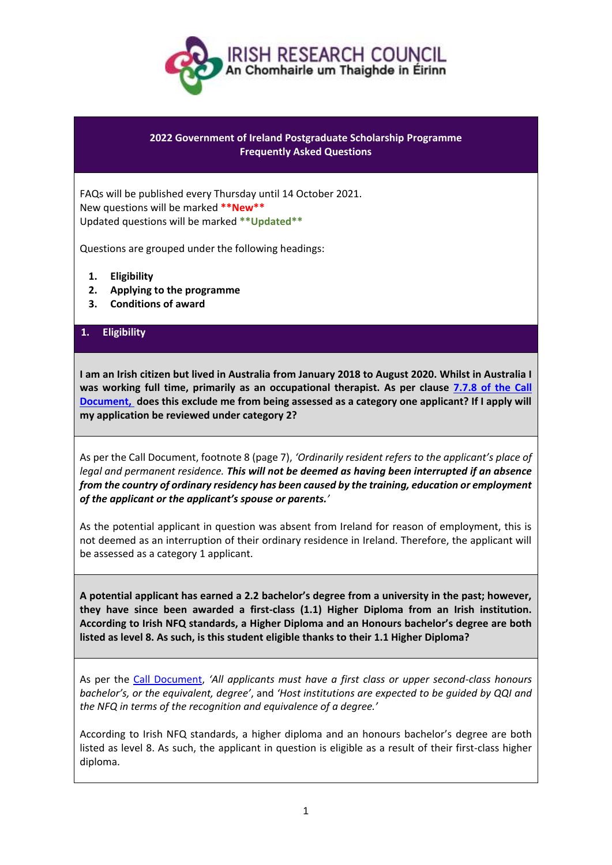

# **2022 Government of Ireland Postgraduate Scholarship Programme Frequently Asked Questions**

FAQs will be published every Thursday until 14 October 2021. New questions will be marked **\*\*New\*\*** Updated questions will be marked **\*\*Updated\*\***

Questions are grouped under the following headings:

- **1. Eligibility**
- **2. Applying to the programme**
- **3. Conditions of award**

# **1. Eligibility**

**I am an Irish citizen but lived in Australia from January 2018 to August 2020. Whilst in Australia I was working full time, primarily as an occupational therapist. As per clause [7.7.8 of the Call](https://research.ie/assets/uploads/2017/05/Call-document-for-GOI-2022_FINAL.pdf)  [Document,](https://research.ie/assets/uploads/2017/05/Call-document-for-GOI-2022_FINAL.pdf) does this exclude me from being assessed as a category one applicant? If I apply will my application be reviewed under category 2?**

As per the Call Document, footnote 8 (page 7), *'Ordinarily resident refers to the applicant's place of legal and permanent residence. This will not be deemed as having been interrupted if an absence from the country of ordinary residency has been caused by the training, education or employment of the applicant or the applicant's spouse or parents.'*

As the potential applicant in question was absent from Ireland for reason of employment, this is not deemed as an interruption of their ordinary residence in Ireland. Therefore, the applicant will be assessed as a category 1 applicant.

**A potential applicant has earned a 2.2 bachelor's degree from a university in the past; however, they have since been awarded a first-class (1.1) Higher Diploma from an Irish institution. According to Irish NFQ standards, a Higher Diploma and an Honours bachelor's degree are both listed as level 8. As such, is this student eligible thanks to their 1.1 Higher Diploma?**

As per the [Call Document,](https://research.ie/assets/uploads/2017/05/Call-document-for-GOI-2022_FINAL.pdf) *'All applicants must have a first class or upper second-class honours bachelor's, or the equivalent, degree'*, and *'Host institutions are expected to be guided by QQI and the NFQ in terms of the recognition and equivalence of a degree.'*

According to Irish NFQ standards, a higher diploma and an honours bachelor's degree are both listed as level 8. As such, the applicant in question is eligible as a result of their first-class higher diploma.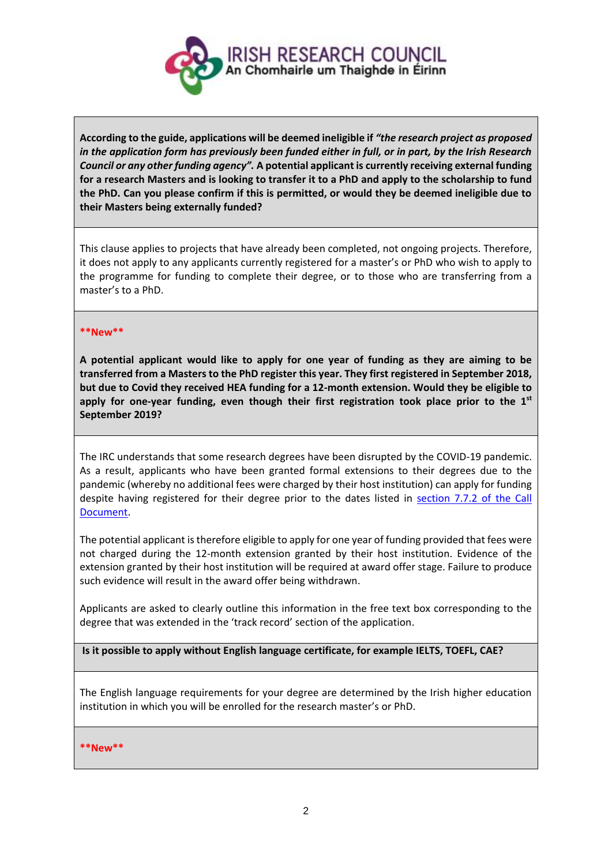

**According to the guide, applications will be deemed ineligible if** *"the research project as proposed in the application form has previously been funded either in full, or in part, by the Irish Research Council or any other funding agency".* **A potential applicant is currently receiving external funding for a research Masters and is looking to transfer it to a PhD and apply to the scholarship to fund the PhD. Can you please confirm if this is permitted, or would they be deemed ineligible due to their Masters being externally funded?**

This clause applies to projects that have already been completed, not ongoing projects. Therefore, it does not apply to any applicants currently registered for a master's or PhD who wish to apply to the programme for funding to complete their degree, or to those who are transferring from a master's to a PhD.

#### **\*\*New\*\***

**A potential applicant would like to apply for one year of funding as they are aiming to be transferred from a Masters to the PhD register this year. They first registered in September 2018, but due to Covid they received HEA funding for a 12-month extension. Would they be eligible to apply for one-year funding, even though their first registration took place prior to the 1 st September 2019?**

The IRC understands that some research degrees have been disrupted by the COVID-19 pandemic. As a result, applicants who have been granted formal extensions to their degrees due to the pandemic (whereby no additional fees were charged by their host institution) can apply for funding despite having registered for their degree prior to the dates listed in [section 7.7.2 of the Call](https://research.ie/assets/uploads/2017/05/Call-document-for-GOI-2022_FINAL.pdf)  [Document.](https://research.ie/assets/uploads/2017/05/Call-document-for-GOI-2022_FINAL.pdf)

The potential applicant is therefore eligible to apply for one year of funding provided that fees were not charged during the 12-month extension granted by their host institution. Evidence of the extension granted by their host institution will be required at award offer stage. Failure to produce such evidence will result in the award offer being withdrawn.

Applicants are asked to clearly outline this information in the free text box corresponding to the degree that was extended in the 'track record' section of the application.

**Is it possible to apply without English language certificate, for example IELTS, TOEFL, CAE?**

The English language requirements for your degree are determined by the Irish higher education institution in which you will be enrolled for the research master's or PhD.

**\*\*New\*\***